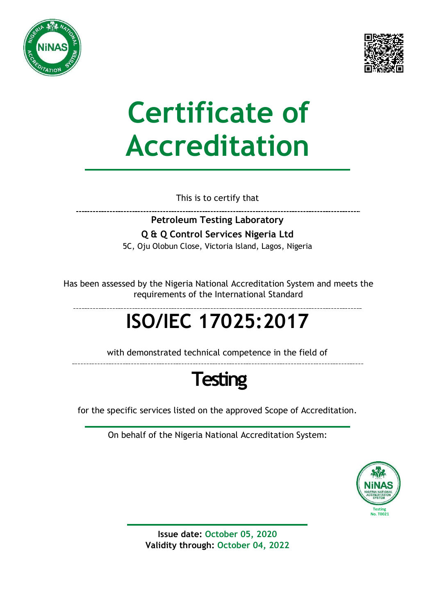



## **Certificate of Accreditation**

This is to certify that

**Petroleum Testing Laboratory Q & Q Control Services Nigeria Ltd** 5C, Oju Olobun Close, Victoria Island, Lagos, Nigeria

Has been assessed by the Nigeria National Accreditation System and meets the requirements of the International Standard

## **ISO/IEC 17025:2017**

with demonstrated technical competence in the field of



for the specific services listed on the approved Scope of Accreditation.

On behalf of the Nigeria National Accreditation System:



**Issue date: October 05, 2020 Validity through: October 04, 2022**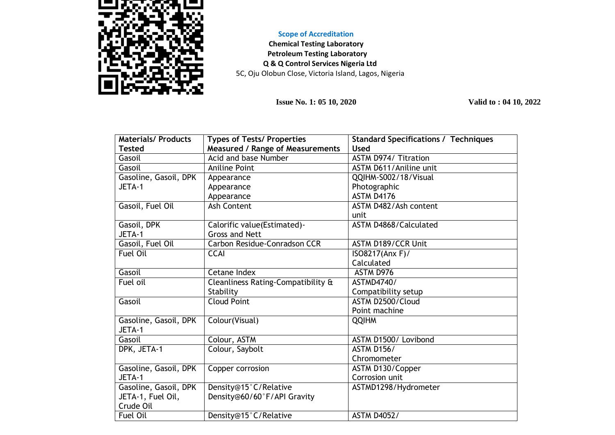

## **Scope of Accreditation**

**Chemical Testing Laboratory Petroleum Testing Laboratory Q & Q Control Services Nigeria Ltd** 5C, Oju Olobun Close, Victoria Island, Lagos, Nigeria

**Issue No. 1: 05 10, 2020 Valid to : 04 10, 2022** 

| <b>Materials/ Products</b> | <b>Types of Tests/ Properties</b>       | <b>Standard Specifications / Techniques</b> |
|----------------------------|-----------------------------------------|---------------------------------------------|
| <b>Tested</b>              | <b>Measured / Range of Measurements</b> | <b>Used</b>                                 |
| Gasoil                     | Acid and base Number                    | <b>ASTM D974/ Titration</b>                 |
| Gasoil                     | <b>Aniline Point</b>                    | ASTM D611/Aniline unit                      |
| Gasoline, Gasoil, DPK      | Appearance                              | QQIHM-S002/18/Visual                        |
| JETA-1                     | Appearance                              | Photographic                                |
|                            | Appearance                              | <b>ASTM D4176</b>                           |
| Gasoil, Fuel Oil           | Ash Content                             | <b>ASTM D482/Ash content</b>                |
|                            |                                         | unit                                        |
| Gasoil, DPK                | Calorific value(Estimated)-             | <b>ASTM D4868/Calculated</b>                |
| JETA-1                     | <b>Gross and Nett</b>                   |                                             |
| Gasoil, Fuel Oil           | Carbon Residue-Conradson CCR            | ASTM D189/CCR Unit                          |
| Fuel Oil                   | <b>CCAI</b>                             | ISO8217(Anx F)/                             |
|                            |                                         | Calculated                                  |
| Gasoil                     | Cetane Index                            | ASTM D976                                   |
| Fuel oil                   | Cleanliness Rating-Compatibility &      | ASTMD4740/                                  |
|                            | Stability                               | Compatibility setup                         |
| Gasoil                     | <b>Cloud Point</b>                      | ASTM D2500/Cloud                            |
|                            |                                         | Point machine                               |
| Gasoline, Gasoil, DPK      | Colour(Visual)                          | <b>QQIHM</b>                                |
| JETA-1                     |                                         |                                             |
| Gasoil                     | Colour, ASTM                            | ASTM D1500/ Lovibond                        |
| DPK, JETA-1                | Colour, Saybolt                         | <b>ASTM D156/</b>                           |
|                            |                                         | Chromometer                                 |
| Gasoline, Gasoil, DPK      | Copper corrosion                        | ASTM D130/Copper                            |
| JETA-1                     |                                         | Corrosion unit                              |
| Gasoline, Gasoil, DPK      | Density@15°C/Relative                   | ASTMD1298/Hydrometer                        |
| JETA-1, Fuel Oil,          | Density@60/60°F/API Gravity             |                                             |
| Crude Oil                  |                                         |                                             |
| Fuel Oil                   | Density@15°C/Relative                   | <b>ASTM D4052/</b>                          |